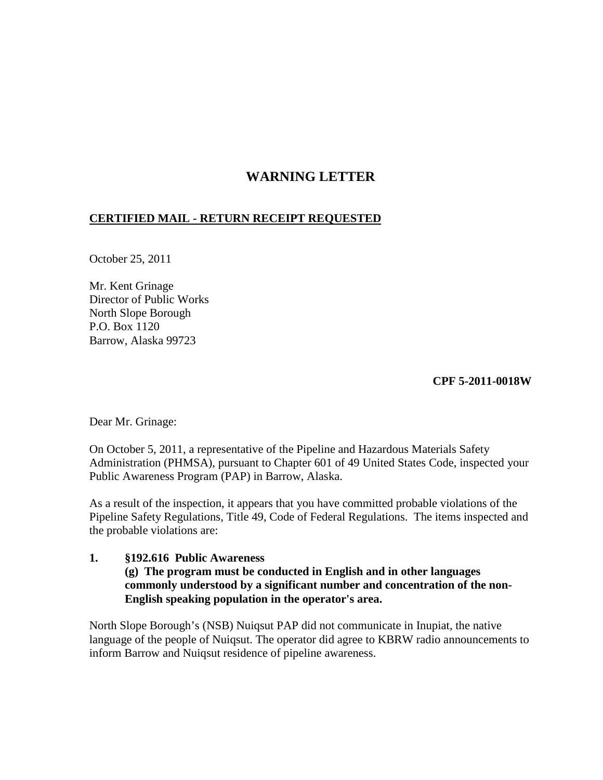# **WARNING LETTER**

## **CERTIFIED MAIL - RETURN RECEIPT REQUESTED**

October 25, 2011

Mr. Kent Grinage Director of Public Works North Slope Borough P.O. Box 1120 Barrow, Alaska 99723

#### **CPF 5-2011-0018W**

Dear Mr. Grinage:

On October 5, 2011, a representative of the Pipeline and Hazardous Materials Safety Administration (PHMSA), pursuant to Chapter 601 of 49 United States Code, inspected your Public Awareness Program (PAP) in Barrow, Alaska.

As a result of the inspection, it appears that you have committed probable violations of the Pipeline Safety Regulations, Title 49, Code of Federal Regulations. The items inspected and the probable violations are:

#### **1. §192.616 Public Awareness (g) The program must be conducted in English and in other languages commonly understood by a significant number and concentration of the non-English speaking population in the operator's area.**

North Slope Borough's (NSB) Nuiqsut PAP did not communicate in Inupiat, the native language of the people of Nuiqsut. The operator did agree to KBRW radio announcements to inform Barrow and Nuiqsut residence of pipeline awareness.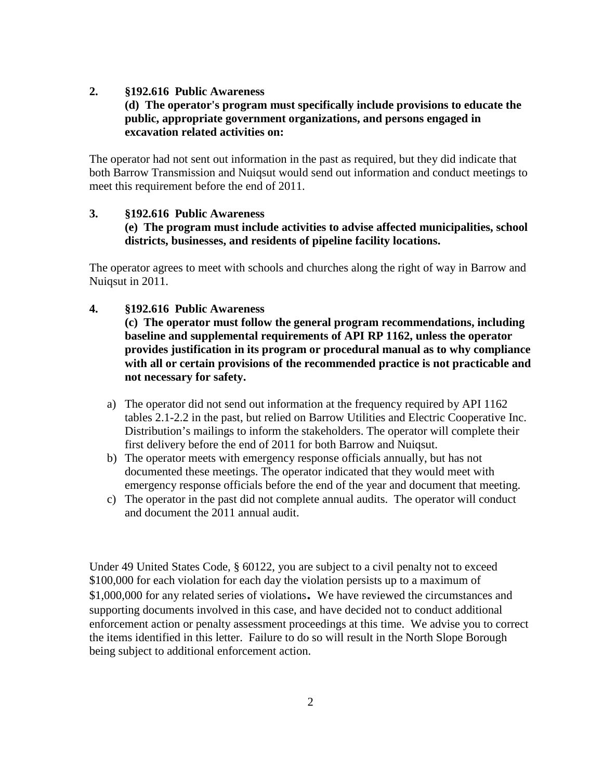#### **2. §192.616 Public Awareness**

## **(d) The operator's program must specifically include provisions to educate the public, appropriate government organizations, and persons engaged in excavation related activities on:**

The operator had not sent out information in the past as required, but they did indicate that both Barrow Transmission and Nuiqsut would send out information and conduct meetings to meet this requirement before the end of 2011.

## **3. §192.616 Public Awareness (e) The program must include activities to advise affected municipalities, school districts, businesses, and residents of pipeline facility locations.**

The operator agrees to meet with schools and churches along the right of way in Barrow and Nuiqsut in 2011.

- **4. §192.616 Public Awareness**
	- **(c) The operator must follow the general program recommendations, including baseline and supplemental requirements of API RP 1162, unless the operator provides justification in its program or procedural manual as to why compliance with all or certain provisions of the recommended practice is not practicable and not necessary for safety.**
	- a) The operator did not send out information at the frequency required by API 1162 tables 2.1-2.2 in the past, but relied on Barrow Utilities and Electric Cooperative Inc. Distribution's mailings to inform the stakeholders. The operator will complete their first delivery before the end of 2011 for both Barrow and Nuiqsut.
	- b) The operator meets with emergency response officials annually, but has not documented these meetings. The operator indicated that they would meet with emergency response officials before the end of the year and document that meeting.
	- c) The operator in the past did not complete annual audits. The operator will conduct and document the 2011 annual audit.

Under 49 United States Code, § 60122, you are subject to a civil penalty not to exceed \$100,000 for each violation for each day the violation persists up to a maximum of \$1,000,000 for any related series of violations. We have reviewed the circumstances and supporting documents involved in this case, and have decided not to conduct additional enforcement action or penalty assessment proceedings at this time. We advise you to correct the items identified in this letter. Failure to do so will result in the North Slope Borough being subject to additional enforcement action.